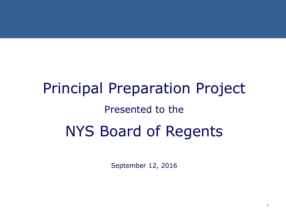# Principal Preparation Project Presented to the NYS Board of Regents

September 12, 2016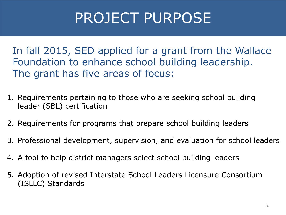# PROJECT PURPOSE

In fall 2015, SED applied for a grant from the Wallace Foundation to enhance school building leadership. The grant has five areas of focus:

- 1. Requirements pertaining to those who are seeking school building leader (SBL) certification
- 2. Requirements for programs that prepare school building leaders
- 3. Professional development, supervision, and evaluation for school leaders
- 4. A tool to help district managers select school building leaders
- 5. Adoption of revised Interstate School Leaders Licensure Consortium (ISLLC) Standards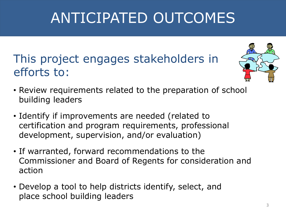# ANTICIPATED OUTCOMES

#### This project engages stakeholders in efforts to:



- Review requirements related to the preparation of school building leaders
- Identify if improvements are needed (related to certification and program requirements, professional development, supervision, and/or evaluation)
- If warranted, forward recommendations to the Commissioner and Board of Regents for consideration and action
- Develop a tool to help districts identify, select, and place school building leaders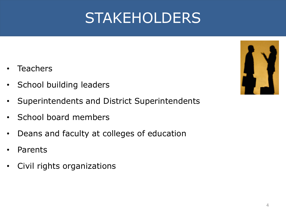# STAKEHOLDERS

- **Teachers**
- School building leaders
- Superintendents and District Superintendents
- School board members
- Deans and faculty at colleges of education
- **Parents**
- Civil rights organizations

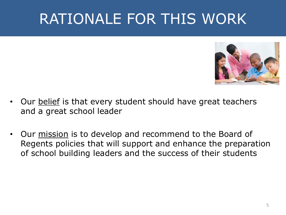# RATIONALE FOR THIS WORK



- Our **belief** is that every student should have great teachers and a great school leader
- Our mission is to develop and recommend to the Board of Regents policies that will support and enhance the preparation of school building leaders and the success of their students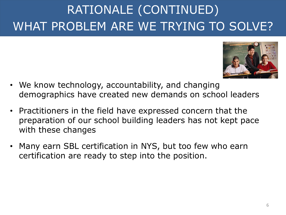### RATIONALE (CONTINUED) WHAT PROBLEM ARE WE TRYING TO SOLVE?



- We know technology, accountability, and changing demographics have created new demands on school leaders
- Practitioners in the field have expressed concern that the preparation of our school building leaders has not kept pace with these changes
- Many earn SBL certification in NYS, but too few who earn certification are ready to step into the position.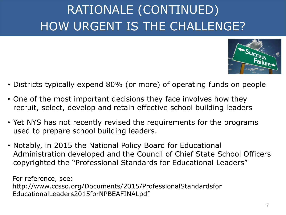### RATIONALE (CONTINUED) HOW URGENT IS THE CHALLENGE?



- Districts typically expend 80% (or more) of operating funds on people
- One of the most important decisions they face involves how they recruit, select, develop and retain effective school building leaders
- Yet NYS has not recently revised the requirements for the programs used to prepare school building leaders.
- Notably, in 2015 the National Policy Board for Educational Administration developed and the Council of Chief State School Officers copyrighted the "Professional Standards for Educational Leaders"

For reference, see: http://www.ccsso.org/Documents/2015/ProfessionalStandardsfor EducationalLeaders2015forNPBEAFINALpdf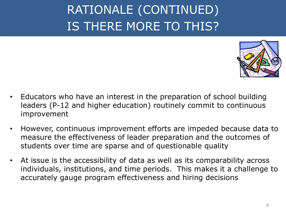#### RATIONALE (CONTINUED) IS THERE MORE TO THIS?



- Educators who have an interest in the preparation of school building leaders (P-12 and higher education) routinely commit to continuous improvement
- However, continuous improvement efforts are impeded because data to measure the effectiveness of leader preparation and the outcomes of students over time are sparse and of questionable quality
- At issue is the accessibility of data as well as its comparability across individuals, institutions, and time periods. This makes it a challenge to accurately gauge program effectiveness and hiring decisions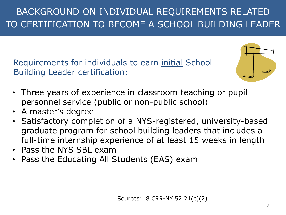BACKGROUND ON INDIVIDUAL REQUIREMENTS RELATED TO CERTIFICATION TO BECOME A SCHOOL BUILDING LEADER

Requirements for individuals to earn initial School Building Leader certification:



- Three years of experience in classroom teaching or pupil personnel service (public or non-public school)
- A master's degree
- Satisfactory completion of a NYS-registered, university-based graduate program for school building leaders that includes a full-time internship experience of at least 15 weeks in length
- Pass the NYS SBL exam
- Pass the Educating All Students (EAS) exam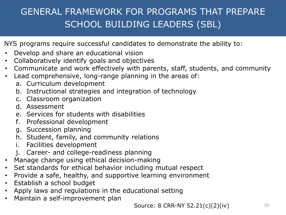#### GENERAL FRAMEWORK FOR PROGRAMS THAT PREPARE SCHOOL BUILDING LEADERS (SBL)

NYS programs require successful candidates to demonstrate the ability to:

- Develop and share an educational vision
- Collaboratively identify goals and objectives
- Communicate and work effectively with parents, staff, students, and community
- Lead comprehensive, long-range planning in the areas of:
	- a. Curriculum development
	- b. Instructional strategies and integration of technology
	- c. Classroom organization
	- d. Assessment
	- e. Services for students with disabilities
	- f. Professional development
	- g. Succession planning
	- h. Student, family, and community relations
	- i. Facilities development
	- j. Career- and college-readiness planning
- Manage change using ethical decision-making
- Set standards for ethical behavior including mutual respect
- Provide a safe, healthy, and supportive learning environment
- Establish a school budget
- Apply laws and regulations in the educational setting
- Maintain a self-improvement plan

**Source: 8 CRR-NY 52.21(c)(2)(iv)** 10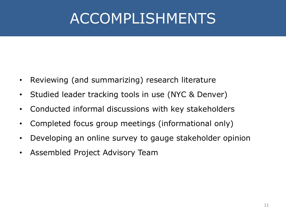# ACCOMPLISHMENTS

- Reviewing (and summarizing) research literature
- Studied leader tracking tools in use (NYC & Denver)
- Conducted informal discussions with key stakeholders
- Completed focus group meetings (informational only)
- Developing an online survey to gauge stakeholder opinion
- Assembled Project Advisory Team